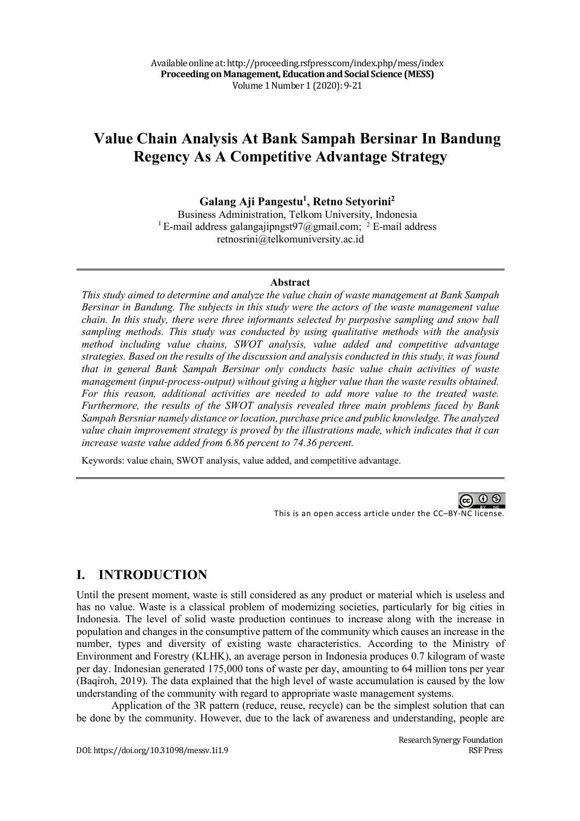# **Value Chain Analysis At Bank Sampah Bersinar In Bandung Regency As A Competitive Advantage Strategy**

**Galang Aji Pangestu1 , Retno Setyorini2**

Business Administration, Telkom University, Indonesia <sup>1</sup> E-mail address galangajipngst $97$ @gmail.com; <sup>2</sup> E-mail address retnosrini@telkomuniversity.ac.id

#### **Abstract**

*This study aimed to determine and analyze the value chain of waste management at Bank Sampah Bersinar in Bandung. The subjects in this study were the actors of the waste management value chain. In this study, there were three informants selected by purposive sampling and snow ball sampling methods. This study was conducted by using qualitative methods with the analysis method including value chains, SWOT analysis, value added and competitive advantage strategies. Based on the results of the discussion and analysis conducted in this study, it was found that in general Bank Sampah Bersinar only conducts basic value chain activities of waste management (input-process-output) without giving a higher value than the waste results obtained. For this reason, additional activities are needed to add more value to the treated waste. Furthermore, the results of the SWOT analysis revealed three main problems faced by Bank Sampah Bersniar namely distance or location, purchase price and public knowledge. The analyzed value chain improvement strategy is proved by the illustrations made, which indicates that it can increase waste value added from 6.86 percent to 74.36 percent.*

Keywords: value chain, SWOT analysis, value added, and competitive advantage.

@ 0 ම This is an open access article under the CC–BY-NC license.

### **I. INTRODUCTION**

Until the present moment, waste is still considered as any product or material which is useless and has no value. Waste is a classical problem of modernizing societies, particularly for big cities in Indonesia. The level of solid waste production continues to increase along with the increase in population and changes in the consumptive pattern of the community which causes an increase in the number, types and diversity of existing waste characteristics. According to the Ministry of Environment and Forestry (KLHK), an average person in Indonesia produces 0.7 kilogram of waste per day. Indonesian generated 175,000 tons of waste per day, amounting to 64 million tons per year (Baqiroh, 2019). The data explained that the high level of waste accumulation is caused by the low understanding of the community with regard to appropriate waste management systems.

Application of the 3R pattern (reduce, reuse, recycle) can be the simplest solution that can be done by the community. However, due to the lack of awareness and understanding, people are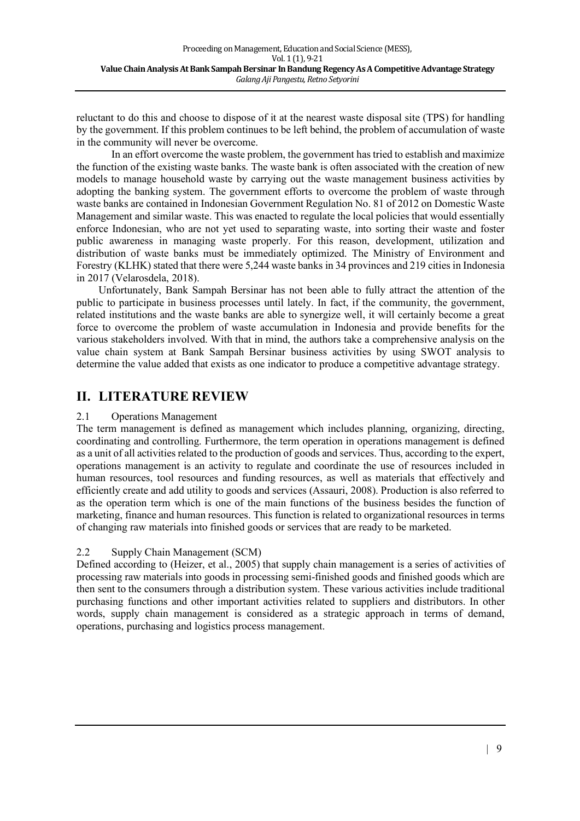reluctant to do this and choose to dispose of it at the nearest waste disposal site (TPS) for handling by the government. If this problem continues to be left behind, the problem of accumulation of waste in the community will never be overcome.

In an effort overcome the waste problem, the government has tried to establish and maximize the function of the existing waste banks. The waste bank is often associated with the creation of new models to manage household waste by carrying out the waste management business activities by adopting the banking system. The government efforts to overcome the problem of waste through waste banks are contained in Indonesian Government Regulation No. 81 of 2012 on Domestic Waste Management and similar waste. This was enacted to regulate the local policies that would essentially enforce Indonesian, who are not yet used to separating waste, into sorting their waste and foster public awareness in managing waste properly. For this reason, development, utilization and distribution of waste banks must be immediately optimized. The Ministry of Environment and Forestry (KLHK) stated that there were 5,244 waste banks in 34 provinces and 219 cities in Indonesia in 2017 (Velarosdela, 2018).

Unfortunately, Bank Sampah Bersinar has not been able to fully attract the attention of the public to participate in business processes until lately. In fact, if the community, the government, related institutions and the waste banks are able to synergize well, it will certainly become a great force to overcome the problem of waste accumulation in Indonesia and provide benefits for the various stakeholders involved. With that in mind, the authors take a comprehensive analysis on the value chain system at Bank Sampah Bersinar business activities by using SWOT analysis to determine the value added that exists as one indicator to produce a competitive advantage strategy.

### **II. LITERATURE REVIEW**

### 2.1 Operations Management

The term management is defined as management which includes planning, organizing, directing, coordinating and controlling. Furthermore, the term operation in operations management is defined as a unit of all activities related to the production of goods and services. Thus, according to the expert, operations management is an activity to regulate and coordinate the use of resources included in human resources, tool resources and funding resources, as well as materials that effectively and efficiently create and add utility to goods and services (Assauri, 2008). Production is also referred to as the operation term which is one of the main functions of the business besides the function of marketing, finance and human resources. This function is related to organizational resources in terms of changing raw materials into finished goods or services that are ready to be marketed.

### 2.2 Supply Chain Management (SCM)

Defined according to (Heizer, et al., 2005) that supply chain management is a series of activities of processing raw materials into goods in processing semi-finished goods and finished goods which are then sent to the consumers through a distribution system. These various activities include traditional purchasing functions and other important activities related to suppliers and distributors. In other words, supply chain management is considered as a strategic approach in terms of demand, operations, purchasing and logistics process management.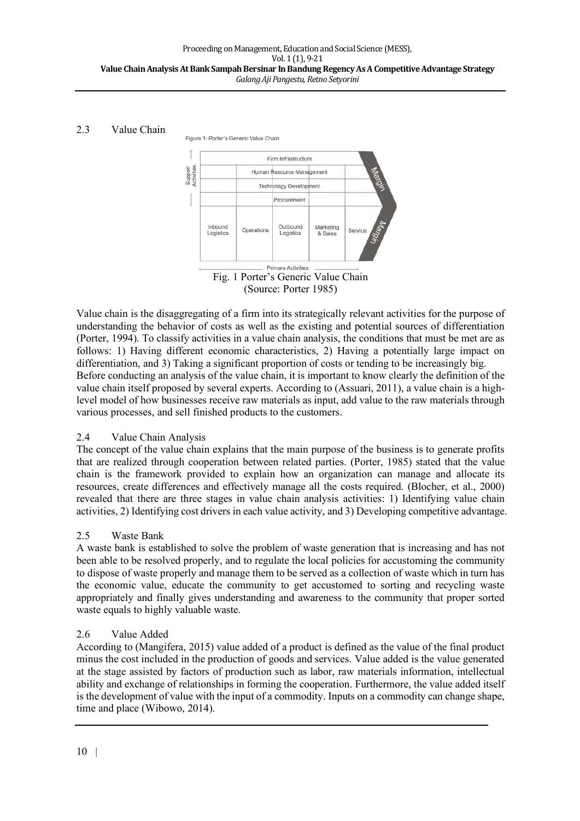### 2.3 Value Chain

Figure 1: Porter's Generic Value Chain



(Source: Porter 1985)

Value chain is the disaggregating of a firm into its strategically relevant activities for the purpose of understanding the behavior of costs as well as the existing and potential sources of differentiation (Porter, 1994). To classify activities in a value chain analysis, the conditions that must be met are as follows: 1) Having different economic characteristics, 2) Having a potentially large impact on differentiation, and 3) Taking a significant proportion of costs or tending to be increasingly big. Before conducting an analysis of the value chain, it is important to know clearly the definition of the value chain itself proposed by several experts. According to (Assuari, 2011), a value chain is a highlevel model of how businesses receive raw materials as input, add value to the raw materials through various processes, and sell finished products to the customers.

### 2.4 Value Chain Analysis

The concept of the value chain explains that the main purpose of the business is to generate profits that are realized through cooperation between related parties. (Porter, 1985) stated that the value chain is the framework provided to explain how an organization can manage and allocate its resources, create differences and effectively manage all the costs required. (Blocher, et al., 2000) revealed that there are three stages in value chain analysis activities: 1) Identifying value chain activities, 2) Identifying cost drivers in each value activity, and 3) Developing competitive advantage.

### 2.5 Waste Bank

A waste bank is established to solve the problem of waste generation that is increasing and has not been able to be resolved properly, and to regulate the local policies for accustoming the community to dispose of waste properly and manage them to be served as a collection of waste which in turn has the economic value, educate the community to get accustomed to sorting and recycling waste appropriately and finally gives understanding and awareness to the community that proper sorted waste equals to highly valuable waste.

### 2.6 Value Added

According to (Mangifera, 2015) value added of a product is defined as the value of the final product minus the cost included in the production of goods and services. Value added is the value generated at the stage assisted by factors of production such as labor, raw materials information, intellectual ability and exchange of relationships in forming the cooperation. Furthermore, the value added itself is the development of value with the input of a commodity. Inputs on a commodity can change shape, time and place (Wibowo, 2014).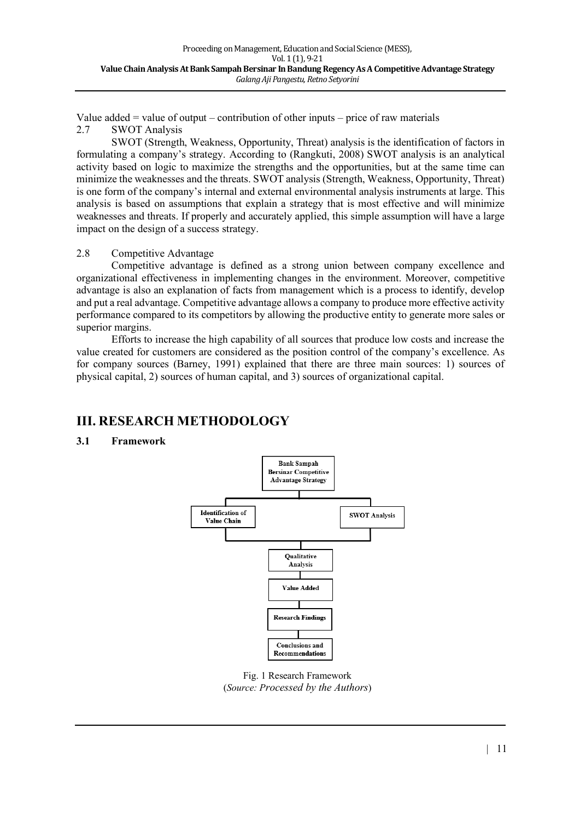Value added  $=$  value of output – contribution of other inputs – price of raw materials 2.7 SWOT Analysis

SWOT (Strength, Weakness, Opportunity, Threat) analysis is the identification of factors in formulating a company's strategy. According to (Rangkuti, 2008) SWOT analysis is an analytical activity based on logic to maximize the strengths and the opportunities, but at the same time can minimize the weaknesses and the threats. SWOT analysis (Strength, Weakness, Opportunity, Threat) is one form of the company's internal and external environmental analysis instruments at large. This analysis is based on assumptions that explain a strategy that is most effective and will minimize weaknesses and threats. If properly and accurately applied, this simple assumption will have a large impact on the design of a success strategy.

#### 2.8 Competitive Advantage

Competitive advantage is defined as a strong union between company excellence and organizational effectiveness in implementing changes in the environment. Moreover, competitive advantage is also an explanation of facts from management which is a process to identify, develop and put a real advantage. Competitive advantage allows a company to produce more effective activity performance compared to its competitors by allowing the productive entity to generate more sales or superior margins.

Efforts to increase the high capability of all sources that produce low costs and increase the value created for customers are considered as the position control of the company's excellence. As for company sources (Barney, 1991) explained that there are three main sources: 1) sources of physical capital, 2) sources of human capital, and 3) sources of organizational capital.

## **III. RESEARCH METHODOLOGY**

### **3.1 Framework**



Fig. 1 Research Framework (*Source: Processed by the Authors*)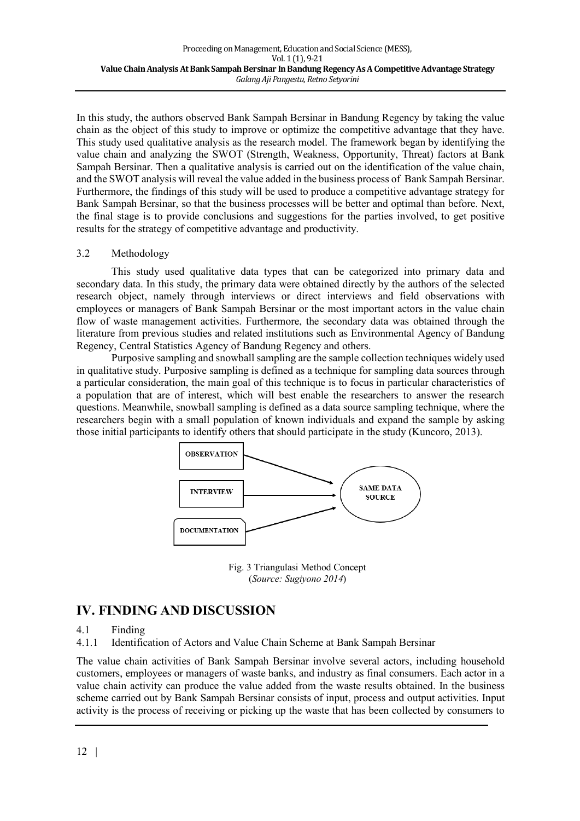In this study, the authors observed Bank Sampah Bersinar in Bandung Regency by taking the value chain as the object of this study to improve or optimize the competitive advantage that they have. This study used qualitative analysis as the research model. The framework began by identifying the value chain and analyzing the SWOT (Strength, Weakness, Opportunity, Threat) factors at Bank Sampah Bersinar. Then a qualitative analysis is carried out on the identification of the value chain, and the SWOT analysis will reveal the value added in the business process of Bank Sampah Bersinar. Furthermore, the findings of this study will be used to produce a competitive advantage strategy for Bank Sampah Bersinar, so that the business processes will be better and optimal than before. Next, the final stage is to provide conclusions and suggestions for the parties involved, to get positive results for the strategy of competitive advantage and productivity.

#### 3.2 Methodology

This study used qualitative data types that can be categorized into primary data and secondary data. In this study, the primary data were obtained directly by the authors of the selected research object, namely through interviews or direct interviews and field observations with employees or managers of Bank Sampah Bersinar or the most important actors in the value chain flow of waste management activities. Furthermore, the secondary data was obtained through the literature from previous studies and related institutions such as Environmental Agency of Bandung Regency, Central Statistics Agency of Bandung Regency and others.

Purposive sampling and snowball sampling are the sample collection techniques widely used in qualitative study. Purposive sampling is defined as a technique for sampling data sources through a particular consideration, the main goal of this technique is to focus in particular characteristics of a population that are of interest, which will best enable the researchers to answer the research questions. Meanwhile, snowball sampling is defined as a data source sampling technique, where the researchers begin with a small population of known individuals and expand the sample by asking those initial participants to identify others that should participate in the study (Kuncoro, 2013).



Fig. 3 Triangulasi Method Concept (*Source: Sugiyono 2014*)

## **IV. FINDING AND DISCUSSION**

4.1 Finding

4.1.1 Identification of Actors and Value Chain Scheme at Bank Sampah Bersinar

The value chain activities of Bank Sampah Bersinar involve several actors, including household customers, employees or managers of waste banks, and industry as final consumers. Each actor in a value chain activity can produce the value added from the waste results obtained. In the business scheme carried out by Bank Sampah Bersinar consists of input, process and output activities. Input activity is the process of receiving or picking up the waste that has been collected by consumers to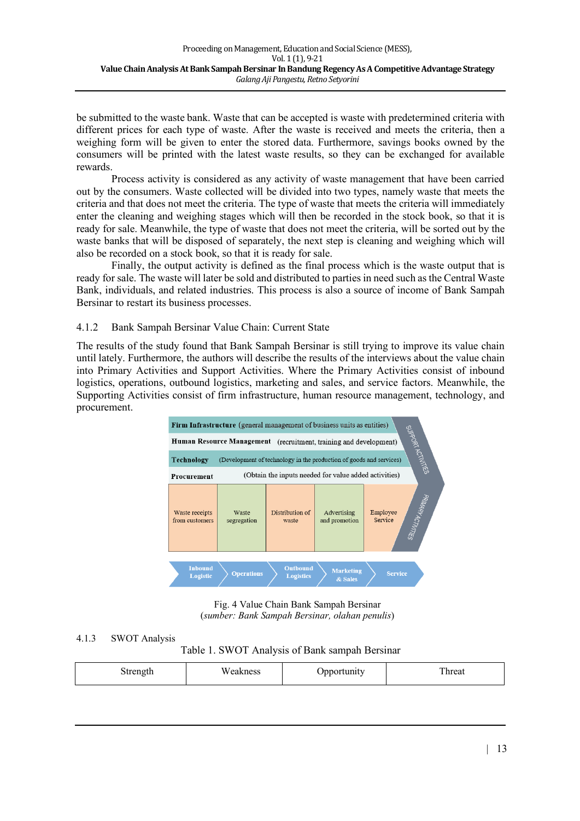be submitted to the waste bank. Waste that can be accepted is waste with predetermined criteria with different prices for each type of waste. After the waste is received and meets the criteria, then a weighing form will be given to enter the stored data. Furthermore, savings books owned by the consumers will be printed with the latest waste results, so they can be exchanged for available rewards.

Process activity is considered as any activity of waste management that have been carried out by the consumers. Waste collected will be divided into two types, namely waste that meets the criteria and that does not meet the criteria. The type of waste that meets the criteria will immediately enter the cleaning and weighing stages which will then be recorded in the stock book, so that it is ready for sale. Meanwhile, the type of waste that does not meet the criteria, will be sorted out by the waste banks that will be disposed of separately, the next step is cleaning and weighing which will also be recorded on a stock book, so that it is ready for sale.

Finally, the output activity is defined as the final process which is the waste output that is ready for sale. The waste will later be sold and distributed to parties in need such as the Central Waste Bank, individuals, and related industries. This process is also a source of income of Bank Sampah Bersinar to restart its business processes.

### 4.1.2 Bank Sampah Bersinar Value Chain: Current State

The results of the study found that Bank Sampah Bersinar is still trying to improve its value chain until lately. Furthermore, the authors will describe the results of the interviews about the value chain into Primary Activities and Support Activities. Where the Primary Activities consist of inbound logistics, operations, outbound logistics, marketing and sales, and service factors. Meanwhile, the Supporting Activities consist of firm infrastructure, human resource management, technology, and procurement.



Fig. 4 Value Chain Bank Sampah Bersinar (*sumber: Bank Sampah Bersinar, olahan penulis*)

### 4.1.3 SWOT Analysis

Table 1. SWOT Analysis of Bank sampah Bersinar

| $\sim$<br>Weakness<br>hreat<br>Jpportunity<br>Strength |  |  |  |  |  |
|--------------------------------------------------------|--|--|--|--|--|
|--------------------------------------------------------|--|--|--|--|--|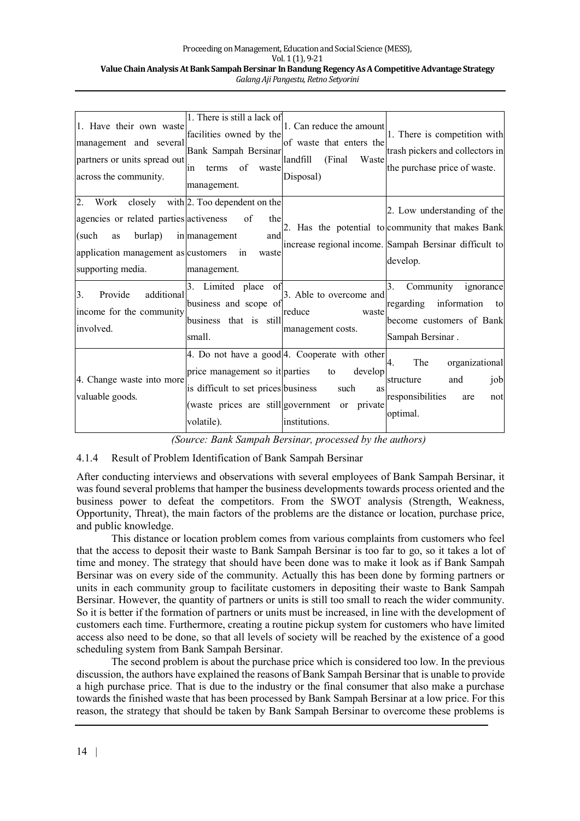#### Proceeding on Management, Education and Social Science (MESS), Vol. 1(1), 9-21 Value Chain Analysis At Bank Sampah Bersinar In Bandung Regency As A Competitive Advantage Strategy *Galang Aji Pangestu, Retno Setyorini*

| 1. Have their own waste<br>management and several<br>partners or units spread out<br>across the community.                                                           | 1. There is still a lack of<br>facilities owned by the<br>Bank Sampah Bersinar<br>of<br>terms<br>waste<br>in<br>management. | 1. Can reduce the amount<br>of waste that enters the<br>landfill<br>(Final)<br>Waste<br>Disposal)                                              | 1. There is competition with<br>trash pickers and collectors in<br>the purchase price of waste.                                                        |
|----------------------------------------------------------------------------------------------------------------------------------------------------------------------|-----------------------------------------------------------------------------------------------------------------------------|------------------------------------------------------------------------------------------------------------------------------------------------|--------------------------------------------------------------------------------------------------------------------------------------------------------|
| 2. Work closely with 2. Too dependent on the<br>agencies or related parties activeness<br>(such<br>as<br>application management as customers in<br>supporting media. | of<br>the<br>burlap) in management<br>and<br>waste<br>management.                                                           |                                                                                                                                                | 2. Low understanding of the<br>2. Has the potential to community that makes Bank<br>increase regional income. Sampah Bersinar difficult to<br>develop. |
| additional<br>3.<br>Provide<br>income for the community<br>involved.                                                                                                 | 3. Limited place<br>of<br>business and scope of<br>business that is still<br>small.                                         | 3. Able to overcome and<br>reduce<br>waste<br>management costs.                                                                                | 3.<br>Community<br>ignorance<br>regarding information<br>to<br>become customers of Bank<br>Sampah Bersinar.                                            |
| 4. Change waste into more<br>valuable goods.                                                                                                                         | price management so it parties<br>is difficult to set prices business<br>volatile).                                         | 4. Do not have a good 4. Cooperate with other<br>develop<br>to<br>such<br>as<br>(waste prices are still government or private<br>institutions. | The<br>organizational<br>$\mathbf{4}$ .<br>structure<br>job<br>and<br>responsibilities<br>are<br>not<br>optimal.                                       |

*(Source: Bank Sampah Bersinar, processed by the authors)*

### 4.1.4 Result of Problem Identification of Bank Sampah Bersinar

After conducting interviews and observations with several employees of Bank Sampah Bersinar, it was found several problems that hamper the business developments towards process oriented and the business power to defeat the competitors. From the SWOT analysis (Strength, Weakness, Opportunity, Threat), the main factors of the problems are the distance or location, purchase price, and public knowledge.

This distance or location problem comes from various complaints from customers who feel that the access to deposit their waste to Bank Sampah Bersinar is too far to go, so it takes a lot of time and money. The strategy that should have been done was to make it look as if Bank Sampah Bersinar was on every side of the community. Actually this has been done by forming partners or units in each community group to facilitate customers in depositing their waste to Bank Sampah Bersinar. However, the quantity of partners or units is still too small to reach the wider community. So it is better if the formation of partners or units must be increased, in line with the development of customers each time. Furthermore, creating a routine pickup system for customers who have limited access also need to be done, so that all levels of society will be reached by the existence of a good scheduling system from Bank Sampah Bersinar.

The second problem is about the purchase price which is considered too low. In the previous discussion, the authors have explained the reasons of Bank Sampah Bersinar that is unable to provide a high purchase price. That is due to the industry or the final consumer that also make a purchase towards the finished waste that has been processed by Bank Sampah Bersinar at a low price. For this reason, the strategy that should be taken by Bank Sampah Bersinar to overcome these problems is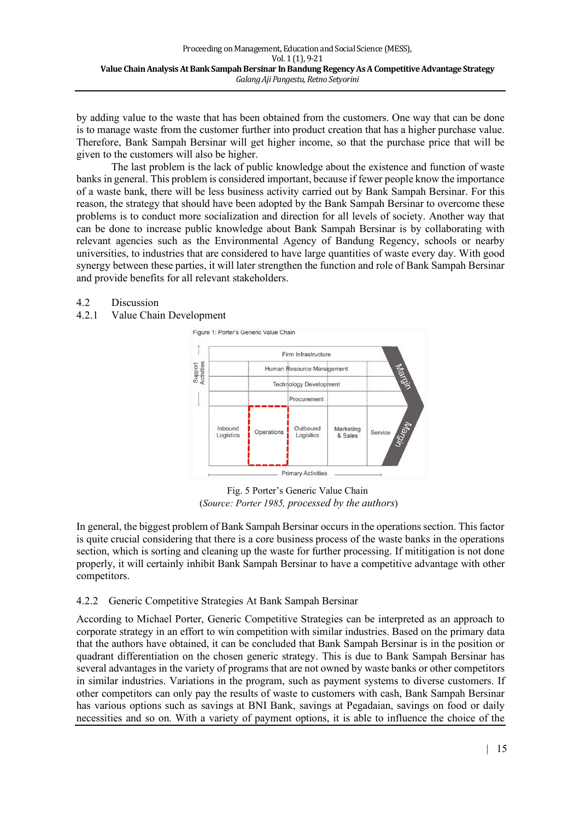by adding value to the waste that has been obtained from the customers. One way that can be done is to manage waste from the customer further into product creation that has a higher purchase value. Therefore, Bank Sampah Bersinar will get higher income, so that the purchase price that will be given to the customers will also be higher.

The last problem is the lack of public knowledge about the existence and function of waste banks in general. This problem is considered important, because if fewer people know the importance of a waste bank, there will be less business activity carried out by Bank Sampah Bersinar. For this reason, the strategy that should have been adopted by the Bank Sampah Bersinar to overcome these problems is to conduct more socialization and direction for all levels of society. Another way that can be done to increase public knowledge about Bank Sampah Bersinar is by collaborating with relevant agencies such as the Environmental Agency of Bandung Regency, schools or nearby universities, to industries that are considered to have large quantities of waste every day. With good synergy between these parties, it will later strengthen the function and role of Bank Sampah Bersinar and provide benefits for all relevant stakeholders.

#### 4.2 Discussion

### 4.2.1 Value Chain Development



Fig. 5 Porter's Generic Value Chain (*Source: Porter 1985, processed by the authors*)

In general, the biggest problem of Bank Sampah Bersinar occurs in the operations section. This factor is quite crucial considering that there is a core business process of the waste banks in the operations section, which is sorting and cleaning up the waste for further processing. If mititigation is not done properly, it will certainly inhibit Bank Sampah Bersinar to have a competitive advantage with other competitors.

### 4.2.2 Generic Competitive Strategies At Bank Sampah Bersinar

According to Michael Porter, Generic Competitive Strategies can be interpreted as an approach to corporate strategy in an effort to win competition with similar industries. Based on the primary data that the authors have obtained, it can be concluded that Bank Sampah Bersinar is in the position or quadrant differentiation on the chosen generic strategy. This is due to Bank Sampah Bersinar has several advantages in the variety of programs that are not owned by waste banks or other competitors in similar industries. Variations in the program, such as payment systems to diverse customers. If other competitors can only pay the results of waste to customers with cash, Bank Sampah Bersinar has various options such as savings at BNI Bank, savings at Pegadaian, savings on food or daily necessities and so on. With a variety of payment options, it is able to influence the choice of the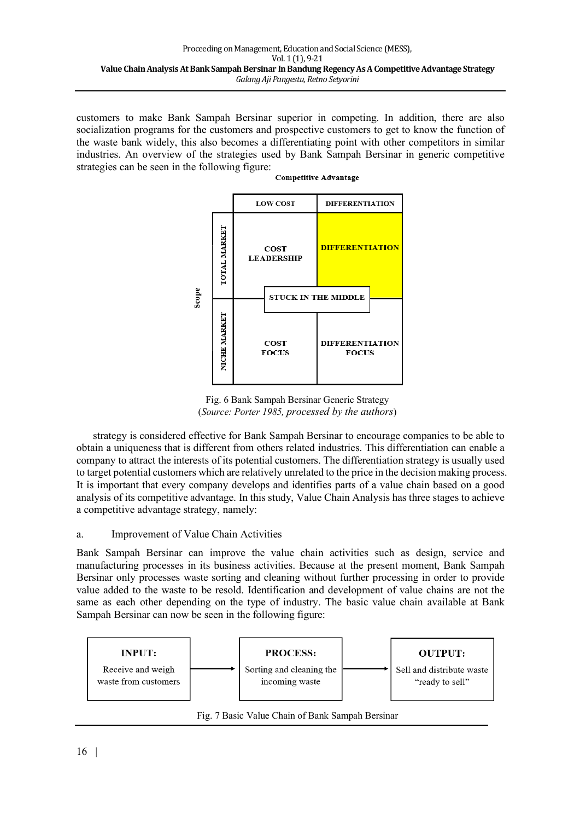customers to make Bank Sampah Bersinar superior in competing. In addition, there are also socialization programs for the customers and prospective customers to get to know the function of the waste bank widely, this also becomes a differentiating point with other competitors in similar industries. An overview of the strategies used by Bank Sampah Bersinar in generic competitive strategies can be seen in the following figure: **Competitive Advantage** 



Fig. 6 Bank Sampah Bersinar Generic Strategy (*Source: Porter 1985, processed by the authors*)

strategy is considered effective for Bank Sampah Bersinar to encourage companies to be able to obtain a uniqueness that is different from others related industries. This differentiation can enable a company to attract the interests of its potential customers. The differentiation strategy is usually used to target potential customers which are relatively unrelated to the price in the decision making process. It is important that every company develops and identifies parts of a value chain based on a good analysis of its competitive advantage. In this study, Value Chain Analysis has three stages to achieve a competitive advantage strategy, namely:

### a. Improvement of Value Chain Activities

Bank Sampah Bersinar can improve the value chain activities such as design, service and manufacturing processes in its business activities. Because at the present moment, Bank Sampah Bersinar only processes waste sorting and cleaning without further processing in order to provide value added to the waste to be resold. Identification and development of value chains are not the same as each other depending on the type of industry. The basic value chain available at Bank Sampah Bersinar can now be seen in the following figure:

![](_page_8_Figure_7.jpeg)

Fig. 7 Basic Value Chain of Bank Sampah Bersinar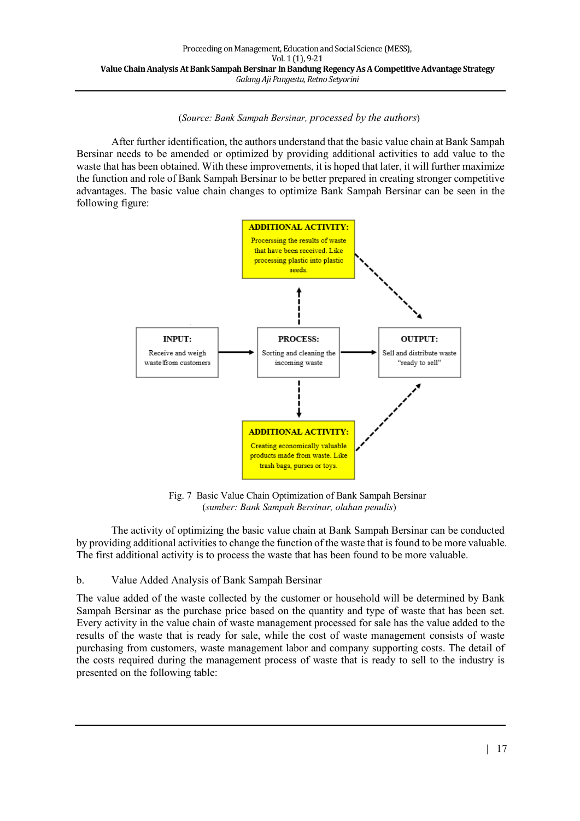(*Source: Bank Sampah Bersinar, processed by the authors*)

After further identification, the authors understand that the basic value chain at Bank Sampah Bersinar needs to be amended or optimized by providing additional activities to add value to the waste that has been obtained. With these improvements, it is hoped that later, it will further maximize the function and role of Bank Sampah Bersinar to be better prepared in creating stronger competitive advantages. The basic value chain changes to optimize Bank Sampah Bersinar can be seen in the following figure:

![](_page_9_Figure_3.jpeg)

Fig. 7 Basic Value Chain Optimization of Bank Sampah Bersinar (*sumber: Bank Sampah Bersinar, olahan penulis*)

The activity of optimizing the basic value chain at Bank Sampah Bersinar can be conducted by providing additional activities to change the function of the waste that is found to be more valuable. The first additional activity is to process the waste that has been found to be more valuable.

### b. Value Added Analysis of Bank Sampah Bersinar

The value added of the waste collected by the customer or household will be determined by Bank Sampah Bersinar as the purchase price based on the quantity and type of waste that has been set. Every activity in the value chain of waste management processed for sale has the value added to the results of the waste that is ready for sale, while the cost of waste management consists of waste purchasing from customers, waste management labor and company supporting costs. The detail of the costs required during the management process of waste that is ready to sell to the industry is presented on the following table: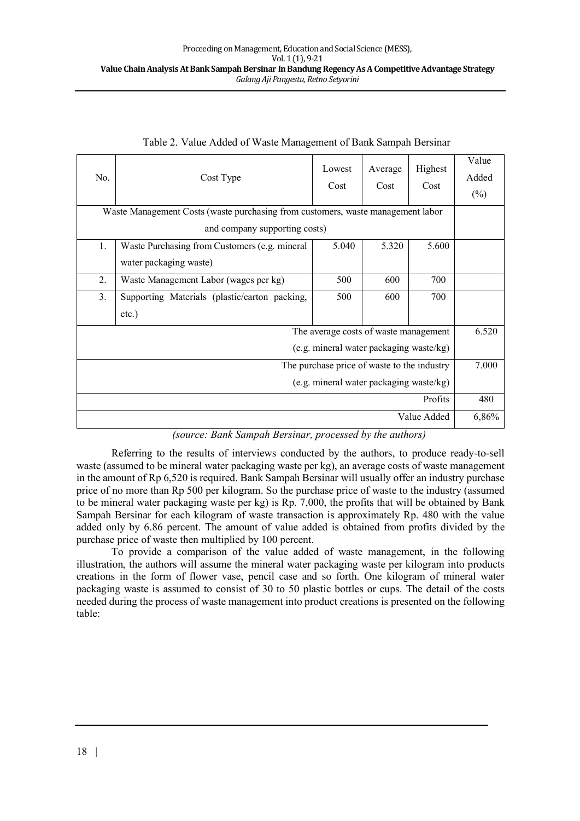| Lowest<br>Highest<br>Average<br>No.<br>Cost Type<br>Cost<br>Cost<br>Cost        |                                                                          |  |  |       | Value<br>Added<br>$(\%)$ |
|---------------------------------------------------------------------------------|--------------------------------------------------------------------------|--|--|-------|--------------------------|
| Waste Management Costs (waste purchasing from customers, waste management labor |                                                                          |  |  |       |                          |
|                                                                                 | and company supporting costs)                                            |  |  |       |                          |
| 1.                                                                              | 5.040<br>5.320<br>5.600<br>Waste Purchasing from Customers (e.g. mineral |  |  |       |                          |
| water packaging waste)                                                          |                                                                          |  |  |       |                          |
| 2.                                                                              | 500<br>600<br>700<br>Waste Management Labor (wages per kg)               |  |  |       |                          |
| 3 <sub>1</sub>                                                                  | Supporting Materials (plastic/carton packing,<br>600<br>700<br>500       |  |  |       |                          |
| $etc.$ )                                                                        |                                                                          |  |  |       |                          |
| The average costs of waste management                                           |                                                                          |  |  | 6.520 |                          |
| (e.g. mineral water packaging waste/kg)                                         |                                                                          |  |  |       |                          |
| The purchase price of waste to the industry                                     |                                                                          |  |  | 7.000 |                          |
| (e.g. mineral water packaging waste/kg)                                         |                                                                          |  |  |       |                          |
| Profits                                                                         |                                                                          |  |  | 480   |                          |
| Value Added                                                                     |                                                                          |  |  | 6,86% |                          |

#### Table 2. Value Added of Waste Management of Bank Sampah Bersinar

Referring to the results of interviews conducted by the authors, to produce ready-to-sell waste (assumed to be mineral water packaging waste per kg), an average costs of waste management in the amount of Rp 6,520 is required. Bank Sampah Bersinar will usually offer an industry purchase price of no more than Rp 500 per kilogram. So the purchase price of waste to the industry (assumed to be mineral water packaging waste per kg) is Rp. 7,000, the profits that will be obtained by Bank Sampah Bersinar for each kilogram of waste transaction is approximately Rp. 480 with the value added only by 6.86 percent. The amount of value added is obtained from profits divided by the purchase price of waste then multiplied by 100 percent.

To provide a comparison of the value added of waste management, in the following illustration, the authors will assume the mineral water packaging waste per kilogram into products creations in the form of flower vase, pencil case and so forth. One kilogram of mineral water packaging waste is assumed to consist of 30 to 50 plastic bottles or cups. The detail of the costs needed during the process of waste management into product creations is presented on the following table: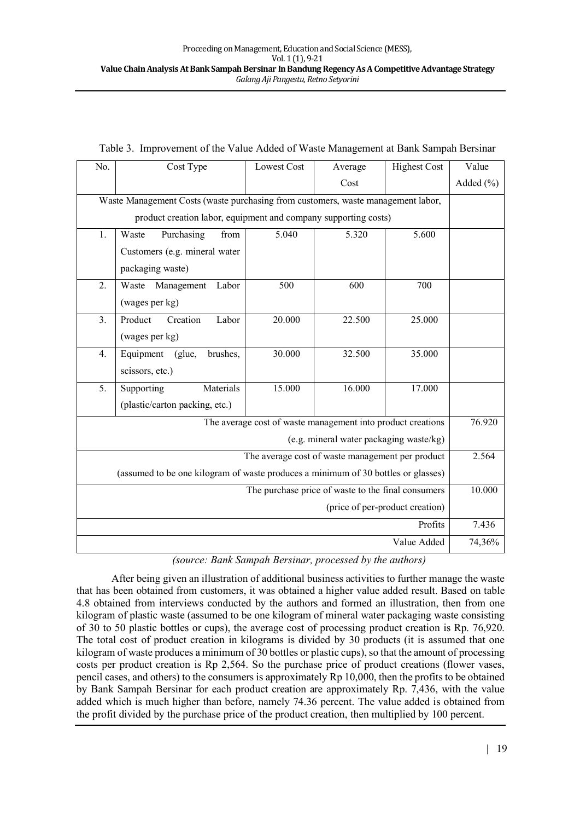| No.                                                                               | Cost Type<br><b>Highest Cost</b><br><b>Lowest Cost</b><br>Average |       |       |        |           |  |
|-----------------------------------------------------------------------------------|-------------------------------------------------------------------|-------|-------|--------|-----------|--|
|                                                                                   |                                                                   |       | Cost  |        | Added (%) |  |
| Waste Management Costs (waste purchasing from customers, waste management labor,  |                                                                   |       |       |        |           |  |
|                                                                                   | product creation labor, equipment and company supporting costs)   |       |       |        |           |  |
| 1.                                                                                | Purchasing<br>Waste<br>from                                       | 5.040 | 5.320 | 5.600  |           |  |
|                                                                                   | Customers (e.g. mineral water                                     |       |       |        |           |  |
|                                                                                   | packaging waste)                                                  |       |       |        |           |  |
| 2.                                                                                | Waste<br>Management<br>Labor                                      | 500   | 600   | 700    |           |  |
|                                                                                   | (wages per kg)                                                    |       |       |        |           |  |
| 3 <sub>1</sub>                                                                    | 20.000<br>22.500<br>25.000<br>Product<br>Creation<br>Labor        |       |       |        |           |  |
| (wages per kg)                                                                    |                                                                   |       |       |        |           |  |
| 4.                                                                                | 30.000<br>32.500<br>brushes,<br>35.000<br>Equipment<br>(glue,     |       |       |        |           |  |
| scissors, etc.)                                                                   |                                                                   |       |       |        |           |  |
| 15.000<br>16.000<br>5.<br>Materials<br>17.000<br>Supporting                       |                                                                   |       |       |        |           |  |
| (plastic/carton packing, etc.)                                                    |                                                                   |       |       |        |           |  |
| The average cost of waste management into product creations                       |                                                                   |       |       | 76.920 |           |  |
| (e.g. mineral water packaging waste/kg)                                           |                                                                   |       |       |        |           |  |
| The average cost of waste management per product                                  |                                                                   |       |       | 2.564  |           |  |
| (assumed to be one kilogram of waste produces a minimum of 30 bottles or glasses) |                                                                   |       |       |        |           |  |
| The purchase price of waste to the final consumers                                |                                                                   |       |       | 10.000 |           |  |
| (price of per-product creation)                                                   |                                                                   |       |       |        |           |  |
| Profits                                                                           |                                                                   |       |       | 7.436  |           |  |
| Value Added                                                                       |                                                                   |       |       | 74,36% |           |  |

#### Table 3. Improvement of the Value Added of Waste Management at Bank Sampah Bersinar

*(source: Bank Sampah Bersinar, processed by the authors)*

After being given an illustration of additional business activities to further manage the waste that has been obtained from customers, it was obtained a higher value added result. Based on table 4.8 obtained from interviews conducted by the authors and formed an illustration, then from one kilogram of plastic waste (assumed to be one kilogram of mineral water packaging waste consisting of 30 to 50 plastic bottles or cups), the average cost of processing product creation is Rp. 76,920. The total cost of product creation in kilograms is divided by 30 products (it is assumed that one kilogram of waste produces a minimum of 30 bottles or plastic cups), so that the amount of processing costs per product creation is Rp 2,564. So the purchase price of product creations (flower vases, pencil cases, and others) to the consumers is approximately Rp 10,000, then the profits to be obtained by Bank Sampah Bersinar for each product creation are approximately Rp. 7,436, with the value added which is much higher than before, namely 74.36 percent. The value added is obtained from the profit divided by the purchase price of the product creation, then multiplied by 100 percent.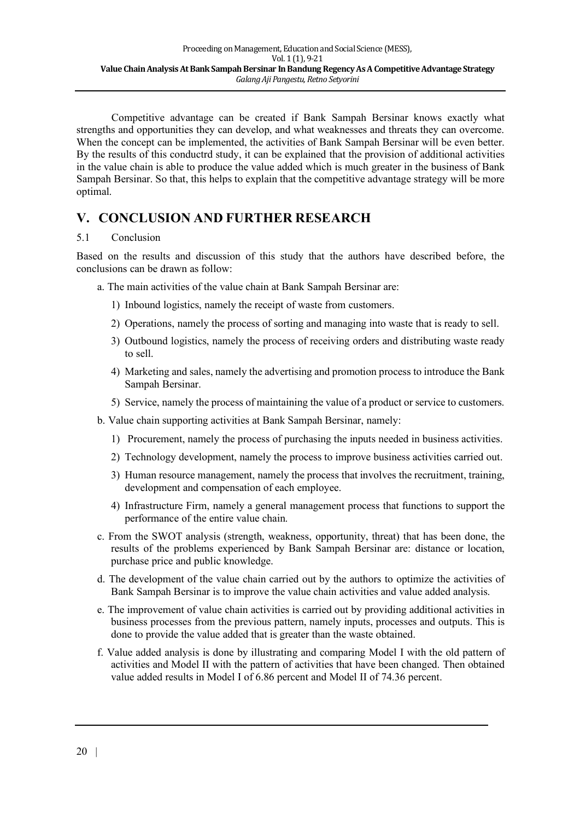Competitive advantage can be created if Bank Sampah Bersinar knows exactly what strengths and opportunities they can develop, and what weaknesses and threats they can overcome. When the concept can be implemented, the activities of Bank Sampah Bersinar will be even better. By the results of this conductrd study, it can be explained that the provision of additional activities in the value chain is able to produce the value added which is much greater in the business of Bank Sampah Bersinar. So that, this helps to explain that the competitive advantage strategy will be more optimal.

## **V. CONCLUSION AND FURTHER RESEARCH**

### 5.1 Conclusion

Based on the results and discussion of this study that the authors have described before, the conclusions can be drawn as follow:

- a. The main activities of the value chain at Bank Sampah Bersinar are:
	- 1) Inbound logistics, namely the receipt of waste from customers.
	- 2) Operations, namely the process of sorting and managing into waste that is ready to sell.
	- 3) Outbound logistics, namely the process of receiving orders and distributing waste ready to sell.
	- 4) Marketing and sales, namely the advertising and promotion process to introduce the Bank Sampah Bersinar.
	- 5) Service, namely the process of maintaining the value of a product or service to customers.
- b. Value chain supporting activities at Bank Sampah Bersinar, namely:
	- 1) Procurement, namely the process of purchasing the inputs needed in business activities.
	- 2) Technology development, namely the process to improve business activities carried out.
	- 3) Human resource management, namely the process that involves the recruitment, training, development and compensation of each employee.
	- 4) Infrastructure Firm, namely a general management process that functions to support the performance of the entire value chain.
- c. From the SWOT analysis (strength, weakness, opportunity, threat) that has been done, the results of the problems experienced by Bank Sampah Bersinar are: distance or location, purchase price and public knowledge.
- d. The development of the value chain carried out by the authors to optimize the activities of Bank Sampah Bersinar is to improve the value chain activities and value added analysis.
- e. The improvement of value chain activities is carried out by providing additional activities in business processes from the previous pattern, namely inputs, processes and outputs. This is done to provide the value added that is greater than the waste obtained.
- f. Value added analysis is done by illustrating and comparing Model I with the old pattern of activities and Model II with the pattern of activities that have been changed. Then obtained value added results in Model I of 6.86 percent and Model II of 74.36 percent.